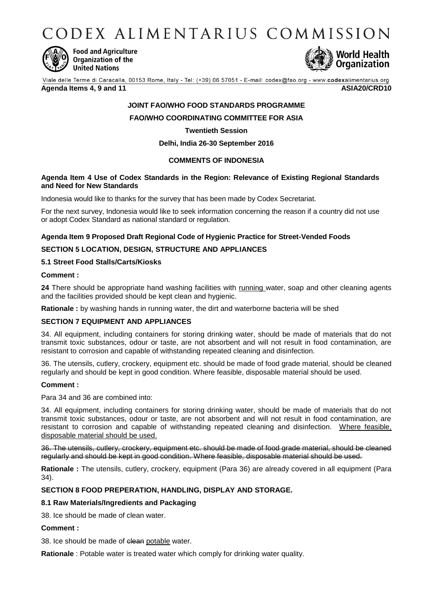CODEX ALIMENTARIUS COMMISSION



**Food and Agriculture** Organization of the **United Nations** 



Viale delle Terme di Caracalla, 00153 Rome, Italy - Tel: (+39) 06 57051 - E-mail: codex@fao.org - www.codexalimentarius.org **Agenda Items 4, 9 and 11 ASIA20/CRD10**

## **JOINT FAO/WHO FOOD STANDARDS PROGRAMME**

## **FAO/WHO COORDINATING COMMITTEE FOR ASIA**

## **Twentieth Session**

## **Delhi, India 26-30 September 2016**

## **COMMENTS OF INDONESIA**

### **Agenda Item 4 Use of Codex Standards in the Region: Relevance of Existing Regional Standards and Need for New Standards**

Indonesia would like to thanks for the survey that has been made by Codex Secretariat.

For the next survey, Indonesia would like to seek information concerning the reason if a country did not use or adopt Codex Standard as national standard or regulation.

### **Agenda Item 9 Proposed Draft Regional Code of Hygienic Practice for Street-Vended Foods**

### **SECTION 5 LOCATION, DESIGN, STRUCTURE AND APPLIANCES**

## **5.1 Street Food Stalls/Carts/Kiosks**

#### **Comment :**

24 There should be appropriate hand washing facilities with running water, soap and other cleaning agents and the facilities provided should be kept clean and hygienic.

**Rationale :** by washing hands in running water, the dirt and waterborne bacteria will be shed

#### **SECTION 7 EQUIPMENT AND APPLIANCES**

34. All equipment, including containers for storing drinking water, should be made of materials that do not transmit toxic substances, odour or taste, are not absorbent and will not result in food contamination, are resistant to corrosion and capable of withstanding repeated cleaning and disinfection.

36. The utensils, cutlery, crockery, equipment etc. should be made of food grade material, should be cleaned regularly and should be kept in good condition. Where feasible, disposable material should be used.

#### **Comment :**

Para 34 and 36 are combined into:

34. All equipment, including containers for storing drinking water, should be made of materials that do not transmit toxic substances, odour or taste, are not absorbent and will not result in food contamination, are resistant to corrosion and capable of withstanding repeated cleaning and disinfection. Where feasible, disposable material should be used.

36. The utensils, cutlery, crockery, equipment etc. should be made of food grade material, should be cleaned regularly and should be kept in good condition. Where feasible, disposable material should be used.

**Rationale :** The utensils, cutlery, crockery, equipment (Para 36) are already covered in all equipment (Para 34).

#### **SECTION 8 FOOD PREPERATION, HANDLING, DISPLAY AND STORAGE.**

#### **8.1 Raw Materials/Ingredients and Packaging**

38. Ice should be made of clean water.

#### **Comment :**

38. Ice should be made of clean potable water.

**Rationale** : Potable water is treated water which comply for drinking water quality.